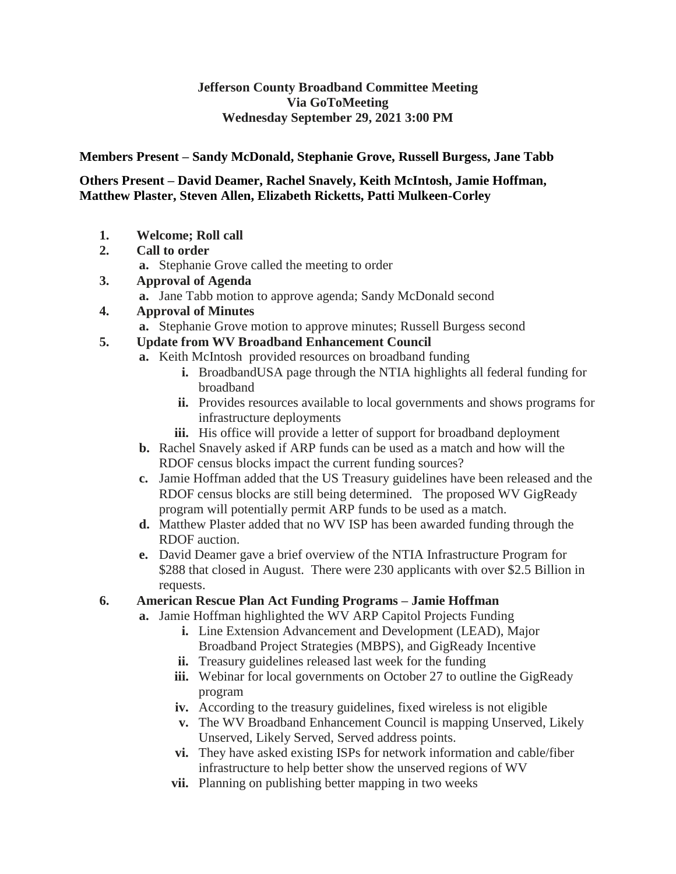#### **Jefferson County Broadband Committee Meeting Via GoToMeeting Wednesday September 29, 2021 3:00 PM**

**Members Present – Sandy McDonald, Stephanie Grove, Russell Burgess, Jane Tabb**

#### **Others Present – David Deamer, Rachel Snavely, Keith McIntosh, Jamie Hoffman, Matthew Plaster, Steven Allen, Elizabeth Ricketts, Patti Mulkeen-Corley**

- **1. Welcome; Roll call**
- **2. Call to order**
	- **a.** Stephanie Grove called the meeting to order
- **3. Approval of Agenda**
	- **a.** Jane Tabb motion to approve agenda; Sandy McDonald second
- **4. Approval of Minutes**
	- **a.** Stephanie Grove motion to approve minutes; Russell Burgess second
- **5. Update from WV Broadband Enhancement Council**
	- **a.** Keith McIntosh provided resources on broadband funding
		- **i.** BroadbandUSA page through the NTIA highlights all federal funding for broadband
		- **ii.** Provides resources available to local governments and shows programs for infrastructure deployments
		- iii. His office will provide a letter of support for broadband deployment
	- **b.** Rachel Snavely asked if ARP funds can be used as a match and how will the RDOF census blocks impact the current funding sources?
	- **c.** Jamie Hoffman added that the US Treasury guidelines have been released and the RDOF census blocks are still being determined. The proposed WV GigReady program will potentially permit ARP funds to be used as a match.
	- **d.** Matthew Plaster added that no WV ISP has been awarded funding through the RDOF auction.
	- **e.** David Deamer gave a brief overview of the NTIA Infrastructure Program for \$288 that closed in August. There were 230 applicants with over \$2.5 Billion in requests.
- **6. American Rescue Plan Act Funding Programs – Jamie Hoffman**
	- **a.** Jamie Hoffman highlighted the WV ARP Capitol Projects Funding
		- **i.** Line Extension Advancement and Development (LEAD), Major Broadband Project Strategies (MBPS), and GigReady Incentive
		- **ii.** Treasury guidelines released last week for the funding
		- **iii.** Webinar for local governments on October 27 to outline the GigReady program
		- **iv.** According to the treasury guidelines, fixed wireless is not eligible
		- **v.** The WV Broadband Enhancement Council is mapping Unserved, Likely Unserved, Likely Served, Served address points.
		- **vi.** They have asked existing ISPs for network information and cable/fiber infrastructure to help better show the unserved regions of WV
		- **vii.** Planning on publishing better mapping in two weeks